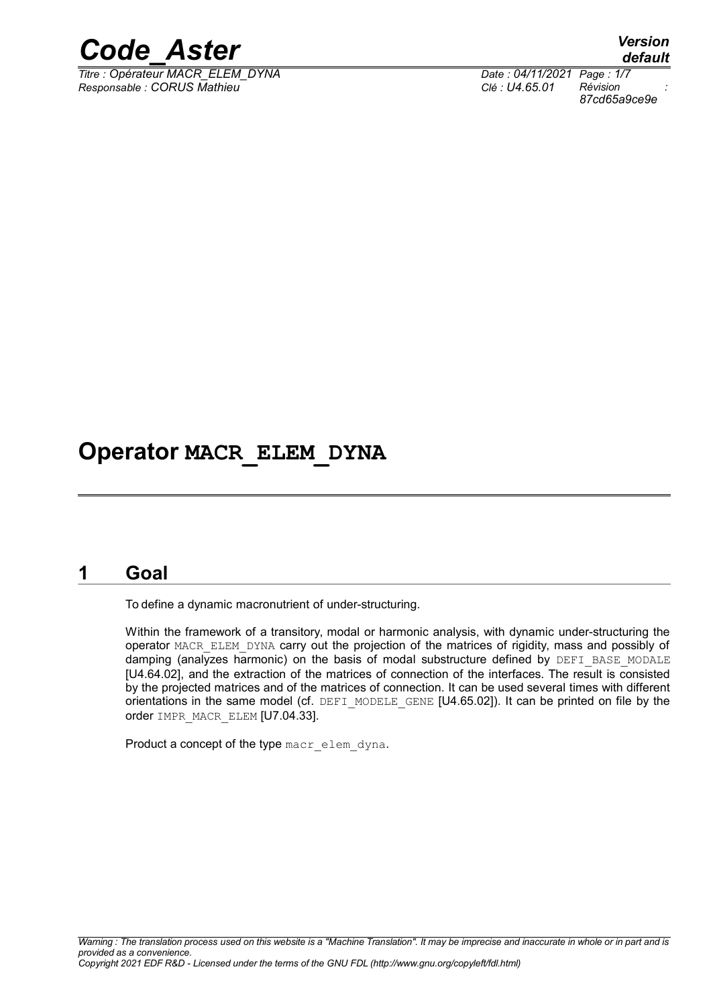

 $\overline{T}$ itre : Opérateur MACR\_ELEM\_DYNA *Responsable : CORUS Mathieu Clé : U4.65.01 Révision :*

*default 87cd65a9ce9e*

# **Operator MACR\_ELEM\_DYNA**

# **1 Goal**

<span id="page-0-0"></span>To define a dynamic macronutrient of under-structuring.

Within the framework of a transitory, modal or harmonic analysis, with dynamic under-structuring the operator MACR\_ELEM\_DYNA carry out the projection of the matrices of rigidity, mass and possibly of damping (analyzes harmonic) on the basis of modal substructure defined by DEFI\_BASE\_MODALE [U4.64.02], and the extraction of the matrices of connection of the interfaces. The result is consisted by the projected matrices and of the matrices of connection. It can be used several times with different orientations in the same model (cf. DEFI\_MODELE\_GENE [U4.65.02]). It can be printed on file by the order IMPR\_MACR\_ELEM [U7.04.33].

Product a concept of the type macr\_elem\_dyna.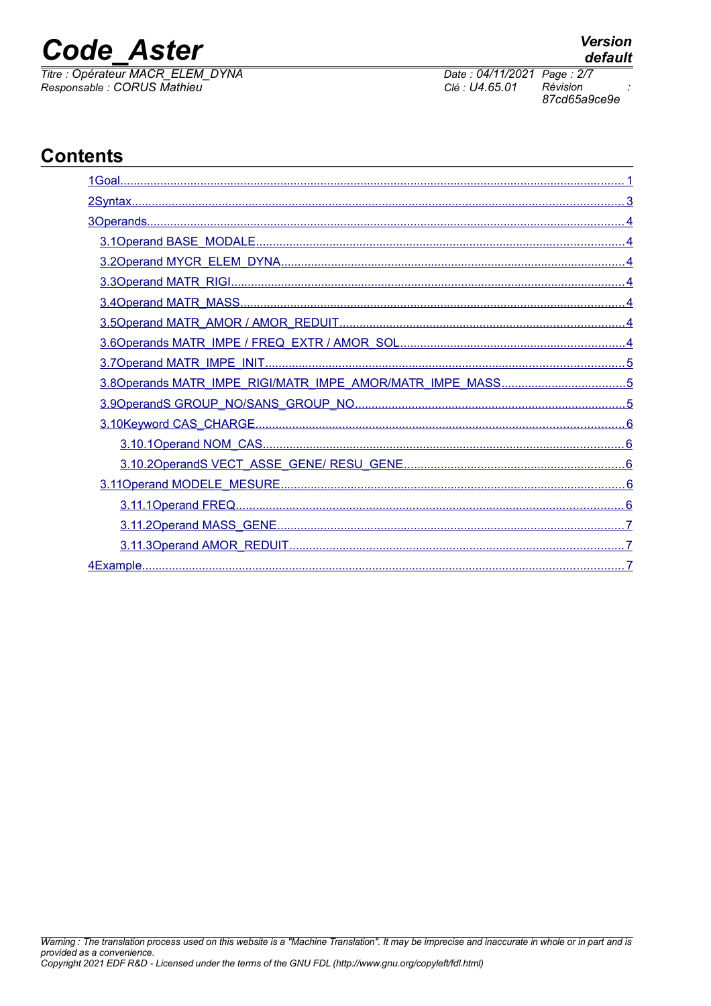# **Code Aster**

Titre : Opérateur MACR\_ELEM\_DYNA Responsable : CORUS Mathieu

# **Contents**

| 3.8Operands MATR_IMPE_RIGI/MATR_IMPE_AMOR/MATR_IMPE_MASS5 |
|-----------------------------------------------------------|
|                                                           |
|                                                           |
|                                                           |
|                                                           |
|                                                           |
|                                                           |
|                                                           |
|                                                           |
|                                                           |

Date: 04/11/2021 Page: 2/7 Clé : U4.65.01

Révision 87cd65a9ce9e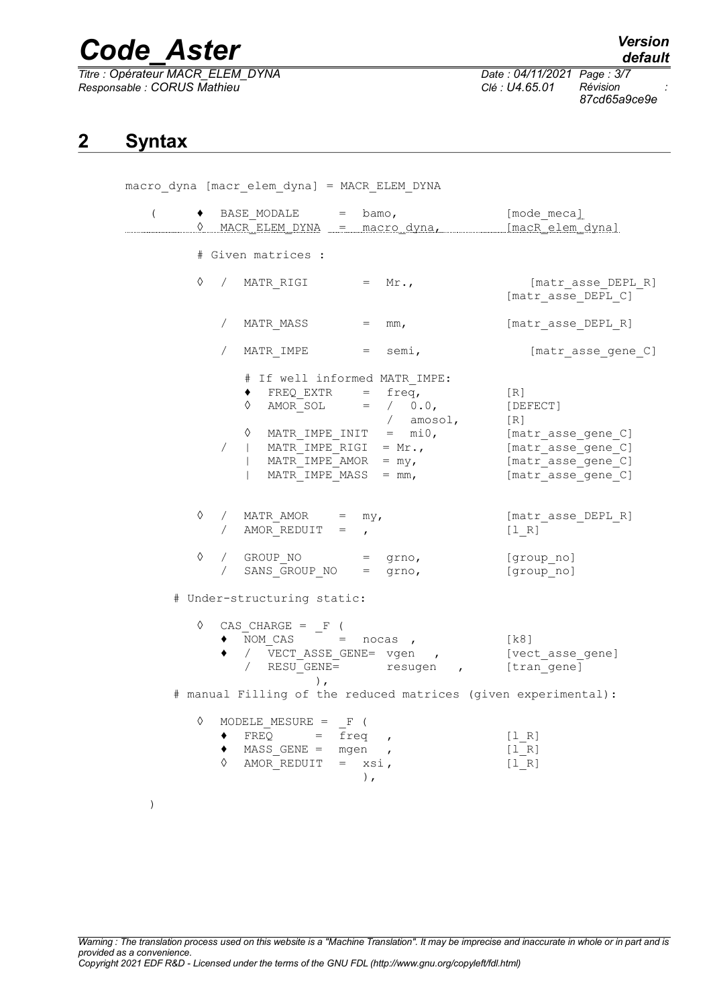$\overline{T}$ itre : Opérateur MACR\_ELEM\_DYNA *Responsable : CORUS Mathieu Clé : U4.65.01 Révision :*

*87cd65a9ce9e*

# <span id="page-2-0"></span>**2 Syntax**

macro\_dyna [macr\_elem\_dyna] = MACR\_ELEM\_DYNA (  $\rightarrow$  BASE MODALE = bamo,  $[\text{mode } \text{measured}]$ 0 MACR\_ELEM\_DYNA = macro\_dyna, [macR\_elem\_dyna] # Given matrices :  $\Diamond$  / MATR RIGI = Mr., [matr asse DEPL R]  $[matr\;asse\; DEPL\;C]$ / MATR MASS = mm, [matr asse DEPL R] / MATR IMPE = semi, [matr\_asse\_gene\_C] # If well informed MATR\_IMPE:  $\bullet$  FREQ EXTR = freq, [R]  $\Diamond$  AMOR SOL = / 0.0, [DEFECT] / amosol, [R] ◊ MATR\_IMPE\_INIT = mi0, [matr\_asse\_gene\_C]  $/$  | MATR IMPE RIGI = Mr.,  $\overline{a}$  [matr assequene C]  $\begin{array}{rcl} \text{MATR\_IMPE\_AMOR} & = & \text{my,} \\ \text{MATR\_IMPE\_AMOS} & = & \text{mm,} \end{array}$ | matr\_asse\_gene\_C]<br>| matr\_asse\_gene\_C]  $\Diamond$  / MATR AMOR = my,  $[\text{matr} \text{ asset }R]$ / AMOR $REDUIT =$ ,  $[1 R]$  $\Diamond$  / GROUP NO = grno, [group no] / SANS GROUP NO = grno, [group no] # Under-structuring static:  $\Diamond$  CAS\_CHARGE =  $_F$  (  $\bullet$  NOM CAS = nocas , [k8]  $\blacklozenge$  /  $\bar{V}$ ECT ASSE GENE= vgen , [vect asse gene] / RESU GENE= resugen , [tran gene] ), # manual Filling of the reduced matrices (given experimental):  $\Diamond$  MODELE MESURE = F (  $\bullet$  FREQ =  $\overline{f}$ req , [1R] ♦ MASS\_GENE = mgen , [l\_R]  $\Diamond$  AMOR\_REDUIT = xsi,  $[1_R]$ ), )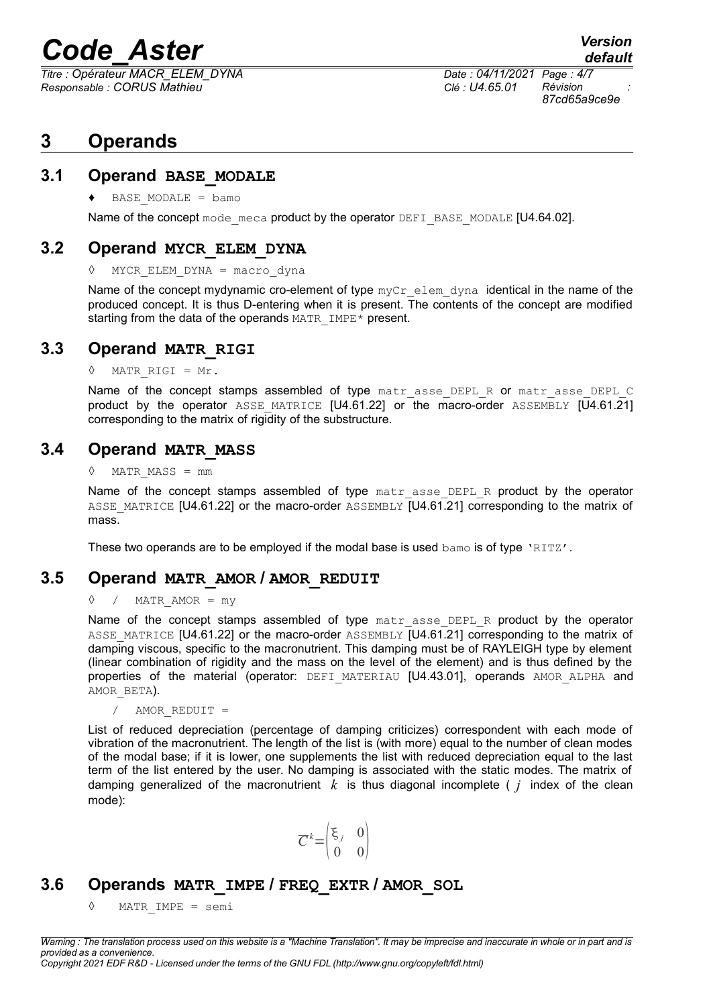*Titre : Opérateur MACR\_ELEM\_DYNA Date : 04/11/2021 Page : 4/7 Responsable : CORUS Mathieu Clé : U4.65.01 Révision :*

*87cd65a9ce9e*

*default*

# <span id="page-3-6"></span>**3 Operands**

### **3.1 Operand BASE\_MODALE**

<span id="page-3-5"></span> $\triangleleft$  BASE MODALE = bamo

Name of the concept mode meca product by the operator DEFI\_BASE\_MODALE [U4.64.02].

### **3.2 Operand MYCR\_ELEM\_DYNA**

<span id="page-3-4"></span>◊ MYCR\_ELEM\_DYNA = macro\_dyna

Name of the concept mydynamic cro-element of type  $myCr$  elem dyna identical in the name of the produced concept. It is thus D-entering when it is present. The contents of the concept are modified starting from the data of the operands MATR IMPE\* present.

### **3.3 Operand MATR\_RIGI**

<span id="page-3-3"></span>◊ MATR\_RIGI = Mr.

Name of the concept stamps assembled of type matr asse DEPL R or matr asse DEPL C product by the operator ASSE\_MATRICE [U4.61.22] or the macro-order ASSEMBLY [U4.61.21] corresponding to the matrix of rigidity of the substructure.

### **3.4 Operand MATR\_MASS**

<span id="page-3-2"></span>◊ MATR\_MASS = mm

Name of the concept stamps assembled of type matr asse DEPL R product by the operator ASSE\_MATRICE [U4.61.22] or the macro-order ASSEMBLY [U4.61.21] corresponding to the matrix of mass.

These two operands are to be employed if the modal base is used bamo is of type 'RITZ'.

### **3.5 Operand MATR\_AMOR / AMOR\_REDUIT**

#### <span id="page-3-1"></span> $\Diamond$  / MATR AMOR = my

Name of the concept stamps assembled of type matr asse DEPL R product by the operator ASSE\_MATRICE [U4.61.22] or the macro-order ASSEMBLY [U4.61.21] corresponding to the matrix of damping viscous, specific to the macronutrient. This damping must be of RAYLEIGH type by element (linear combination of rigidity and the mass on the level of the element) and is thus defined by the properties of the material (operator: DEFI MATERIAU [U4.43.01], operands AMOR ALPHA and AMOR\_BETA).

AMOR REDUIT =

List of reduced depreciation (percentage of damping criticizes) correspondent with each mode of vibration of the macronutrient. The length of the list is (with more) equal to the number of clean modes of the modal base; if it is lower, one supplements the list with reduced depreciation equal to the last term of the list entered by the user. No damping is associated with the static modes. The matrix of damping generalized of the macronutrient  $k$  is thus diagonal incomplete ( $j$  index of the clean mode):

$$
\overline{C}^k = \begin{pmatrix} \xi_j & 0 \\ 0 & 0 \end{pmatrix}
$$

# **3.6 Operands MATR\_IMPE / FREQ\_EXTR / AMOR\_SOL**

<span id="page-3-0"></span>◊ MATR\_IMPE = semi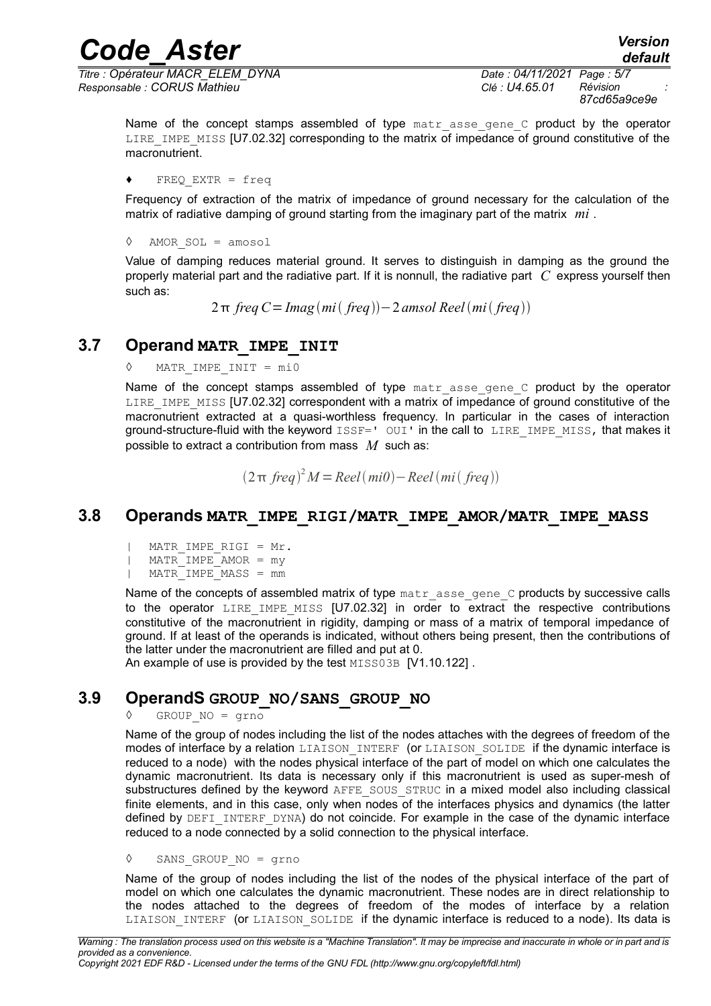*Titre : Opérateur MACR\_ELEM\_DYNA Date : 04/11/2021 Page : 5/7 Responsable : CORUS Mathieu Clé : U4.65.01 Révision :*

*87cd65a9ce9e*

*default*

Name of the concept stamps assembled of type matr asse gene C product by the operator LIRE IMPE MISS [U7.02.32] corresponding to the matrix of impedance of ground constitutive of the macronutrient.

♦ FREQ\_EXTR = freq

Frequency of extraction of the matrix of impedance of ground necessary for the calculation of the matrix of radiative damping of ground starting from the imaginary part of the matrix *mi* .

◊ AMOR\_SOL = amosol

Value of damping reduces material ground. It serves to distinguish in damping as the ground the properly material part and the radiative part. If it is nonnull, the radiative part *C* express yourself then such as:

 $2π$  *freq*  $C = Imag$   $(mi$   $freq$ )  $-2$  *amsol*  $Reel$   $(mi$   $freq)$ )

# **3.7 Operand MATR\_IMPE\_INIT**

<span id="page-4-2"></span>MATR IMPE INIT =  $mi0$ 

Name of the concept stamps assembled of type matr asse gene C product by the operator LIRE IMPE MISS [U7.02.32] correspondent with a matrix of impedance of ground constitutive of the macronutrient extracted at a quasi-worthless frequency. In particular in the cases of interaction ground-structure-fluid with the keyword ISSF=' OUI' in the call to LIRE IMPE MISS, that makes it possible to extract a contribution from mass *M* such as:

 $(2π$  *freq* $)^2$ *M* = *Reel*  $(mi0)$  − *Reel*  $(mi(freq))$ 

# **3.8 Operands MATR\_IMPE\_RIGI/MATR\_IMPE\_AMOR/MATR\_IMPE\_MASS**

- <span id="page-4-1"></span>| MATR\_IMPE\_RIGI = Mr.
- | MATR\_IMPE\_AMOR = my
- | MATR\_IMPE\_MASS = mm

Name of the concepts of assembled matrix of type matr asse gene C products by successive calls to the operator LIRE IMPE MISS  $[*U7.02.32*]$  in order to extract the respective contributions constitutive of the macronutrient in rigidity, damping or mass of a matrix of temporal impedance of ground. If at least of the operands is indicated, without others being present, then the contributions of the latter under the macronutrient are filled and put at 0.

An example of use is provided by the test MISS03B [V1.10.122].

# **3.9 OperandS GROUP\_NO/SANS\_GROUP\_NO**

<span id="page-4-0"></span> $GROUP NO = qrno$ 

Name of the group of nodes including the list of the nodes attaches with the degrees of freedom of the modes of interface by a relation LIAISON INTERF (or LIAISON SOLIDE if the dynamic interface is reduced to a node) with the nodes physical interface of the part of model on which one calculates the dynamic macronutrient. Its data is necessary only if this macronutrient is used as super-mesh of substructures defined by the keyword AFFE\_SOUS\_STRUC in a mixed model also including classical finite elements, and in this case, only when nodes of the interfaces physics and dynamics (the latter defined by DEFI\_INTERF\_DYNA) do not coincide. For example in the case of the dynamic interface reduced to a node connected by a solid connection to the physical interface.

◊ SANS\_GROUP\_NO = grno

Name of the group of nodes including the list of the nodes of the physical interface of the part of model on which one calculates the dynamic macronutrient. These nodes are in direct relationship to the nodes attached to the degrees of freedom of the modes of interface by a relation LIAISON INTERF (Or LIAISON SOLIDE if the dynamic interface is reduced to a node). Its data is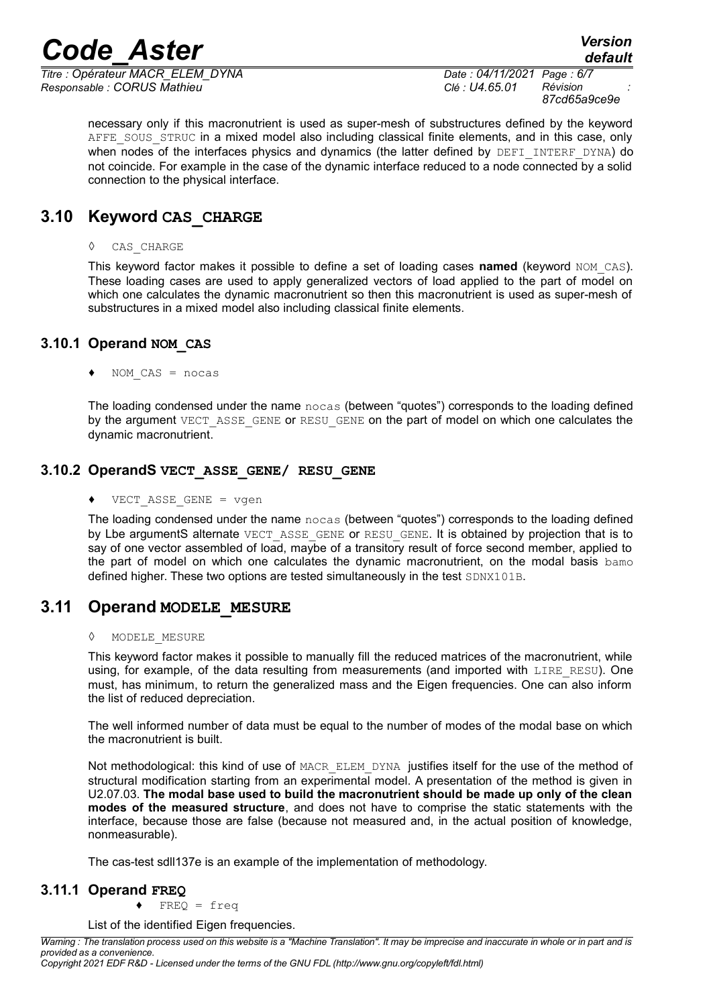*Titre : Opérateur MACR\_ELEM\_DYNA Date : 04/11/2021 Page : 6/7 Responsable : CORUS Mathieu Clé : U4.65.01 Révision :*

*87cd65a9ce9e*

necessary only if this macronutrient is used as super-mesh of substructures defined by the keyword AFFE\_SOUS\_STRUC in a mixed model also including classical finite elements, and in this case, only when nodes of the interfaces physics and dynamics (the latter defined by DEFI INTERF DYNA) do not coincide. For example in the case of the dynamic interface reduced to a node connected by a solid connection to the physical interface.

# **3.10 Keyword CAS\_CHARGE**

<span id="page-5-4"></span>◊ CAS\_CHARGE

This keyword factor makes it possible to define a set of loading cases **named** (keyword NOM\_CAS). These loading cases are used to apply generalized vectors of load applied to the part of model on which one calculates the dynamic macronutrient so then this macronutrient is used as super-mesh of substructures in a mixed model also including classical finite elements.

### **3.10.1 Operand NOM\_CAS**

<span id="page-5-3"></span> $NOM CAS = nocas$ 

The loading condensed under the name nocas (between "quotes") corresponds to the loading defined by the argument VECT ASSE GENE or RESU GENE on the part of model on which one calculates the dynamic macronutrient.

### **3.10.2 OperandS VECT\_ASSE\_GENE/ RESU\_GENE**

<span id="page-5-2"></span>♦ VECT\_ASSE\_GENE = vgen

The loading condensed under the name nocas (between "quotes") corresponds to the loading defined by Lbe argumentS alternate VECT\_ASSE\_GENE or RESU\_GENE. It is obtained by projection that is to say of one vector assembled of load, maybe of a transitory result of force second member, applied to the part of model on which one calculates the dynamic macronutrient, on the modal basis bamo defined higher. These two options are tested simultaneously in the test SDNX101B.

# **3.11 Operand MODELE\_MESURE**

#### <span id="page-5-1"></span>◊ MODELE\_MESURE

This keyword factor makes it possible to manually fill the reduced matrices of the macronutrient, while using, for example, of the data resulting from measurements (and imported with LIRE RESU). One must, has minimum, to return the generalized mass and the Eigen frequencies. One can also inform the list of reduced depreciation.

The well informed number of data must be equal to the number of modes of the modal base on which the macronutrient is built.

Not methodological: this kind of use of MACR\_ELEM\_DYNA\_justifies itself for the use of the method of structural modification starting from an experimental model. A presentation of the method is given in U2.07.03. **The modal base used to build the macronutrient should be made up only of the clean modes of the measured structure**, and does not have to comprise the static statements with the interface, because those are false (because not measured and, in the actual position of knowledge, nonmeasurable).

<span id="page-5-0"></span>The cas-test sdll137e is an example of the implementation of methodology.

### **3.11.1 Operand FREQ**

♦ FREQ = freq

List of the identified Eigen frequencies.

*Warning : The translation process used on this website is a "Machine Translation". It may be imprecise and inaccurate in whole or in part and is provided as a convenience. Copyright 2021 EDF R&D - Licensed under the terms of the GNU FDL (http://www.gnu.org/copyleft/fdl.html)*